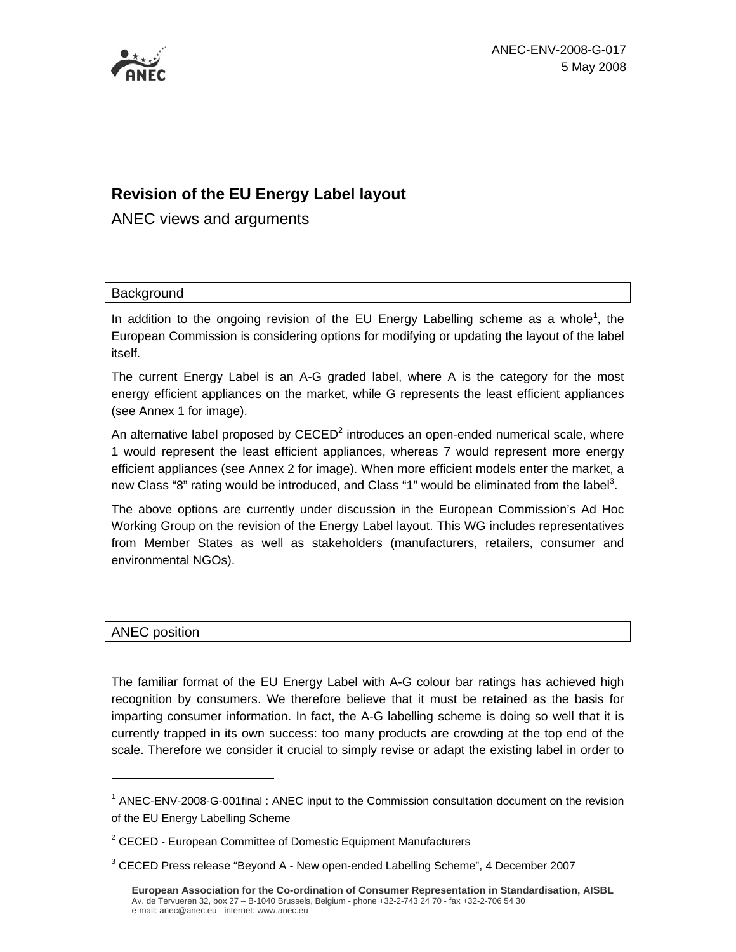

# **Revision of the EU Energy Label layout**

ANEC views and arguments

#### **Background**

In addition to the ongoing revision of the EU Energy Labelling scheme as a whole<sup>1</sup>, the European Commission is considering options for modifying or updating the layout of the label itself.

The current Energy Label is an A-G graded label, where A is the category for the most energy efficient appliances on the market, while G represents the least efficient appliances (see Annex 1 for image).

An alternative label proposed by  $\mathsf{CECD}^2$  introduces an open-ended numerical scale, where 1 would represent the least efficient appliances, whereas 7 would represent more energy efficient appliances (see Annex 2 for image). When more efficient models enter the market, a new Class "8" rating would be introduced, and Class "1" would be eliminated from the label<sup>3</sup>.

The above options are currently under discussion in the European Commission's Ad Hoc Working Group on the revision of the Energy Label layout. This WG includes representatives from Member States as well as stakeholders (manufacturers, retailers, consumer and environmental NGOs).

#### ANEC position

 $\overline{a}$ 

The familiar format of the EU Energy Label with A-G colour bar ratings has achieved high recognition by consumers. We therefore believe that it must be retained as the basis for imparting consumer information. In fact, the A-G labelling scheme is doing so well that it is currently trapped in its own success: too many products are crowding at the top end of the scale. Therefore we consider it crucial to simply revise or adapt the existing label in order to

<sup>&</sup>lt;sup>1</sup> ANEC-ENV-2008-G-001final: ANEC input to the Commission consultation document on the revision of the EU Energy Labelling Scheme

<sup>&</sup>lt;sup>2</sup> CECED - European Committee of Domestic Equipment Manufacturers

 $3$  CECED Press release "Beyond A - New open-ended Labelling Scheme", 4 December 2007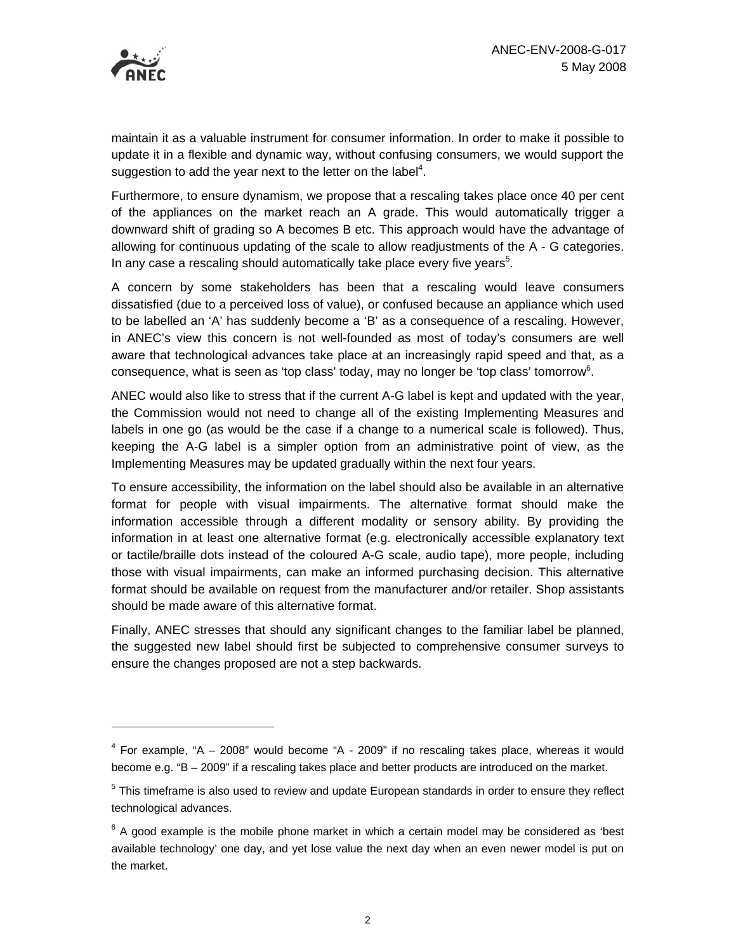

 $\overline{a}$ 

maintain it as a valuable instrument for consumer information. In order to make it possible to update it in a flexible and dynamic way, without confusing consumers, we would support the suggestion to add the year next to the letter on the label<sup>4</sup>.

Furthermore, to ensure dynamism, we propose that a rescaling takes place once 40 per cent of the appliances on the market reach an A grade. This would automatically trigger a downward shift of grading so A becomes B etc. This approach would have the advantage of allowing for continuous updating of the scale to allow readjustments of the A - G categories. In any case a rescaling should automatically take place every five years $5$ .

A concern by some stakeholders has been that a rescaling would leave consumers dissatisfied (due to a perceived loss of value), or confused because an appliance which used to be labelled an 'A' has suddenly become a 'B' as a consequence of a rescaling. However, in ANEC's view this concern is not well-founded as most of today's consumers are well aware that technological advances take place at an increasingly rapid speed and that, as a consequence, what is seen as 'top class' today, may no longer be 'top class' tomorrow<sup>6</sup>.

ANEC would also like to stress that if the current A-G label is kept and updated with the year, the Commission would not need to change all of the existing Implementing Measures and labels in one go (as would be the case if a change to a numerical scale is followed). Thus, keeping the A-G label is a simpler option from an administrative point of view, as the Implementing Measures may be updated gradually within the next four years.

To ensure accessibility, the information on the label should also be available in an alternative format for people with visual impairments. The alternative format should make the information accessible through a different modality or sensory ability. By providing the information in at least one alternative format (e.g. electronically accessible explanatory text or tactile/braille dots instead of the coloured A-G scale, audio tape), more people, including those with visual impairments, can make an informed purchasing decision. This alternative format should be available on request from the manufacturer and/or retailer. Shop assistants should be made aware of this alternative format.

Finally, ANEC stresses that should any significant changes to the familiar label be planned, the suggested new label should first be subjected to comprehensive consumer surveys to ensure the changes proposed are not a step backwards.

 $4$  For example, "A  $-$  2008" would become "A - 2009" if no rescaling takes place, whereas it would become e.g. "B – 2009" if a rescaling takes place and better products are introduced on the market.

<sup>&</sup>lt;sup>5</sup> This timeframe is also used to review and update European standards in order to ensure they reflect technological advances.

 $6$  A good example is the mobile phone market in which a certain model may be considered as 'best available technology' one day, and yet lose value the next day when an even newer model is put on the market.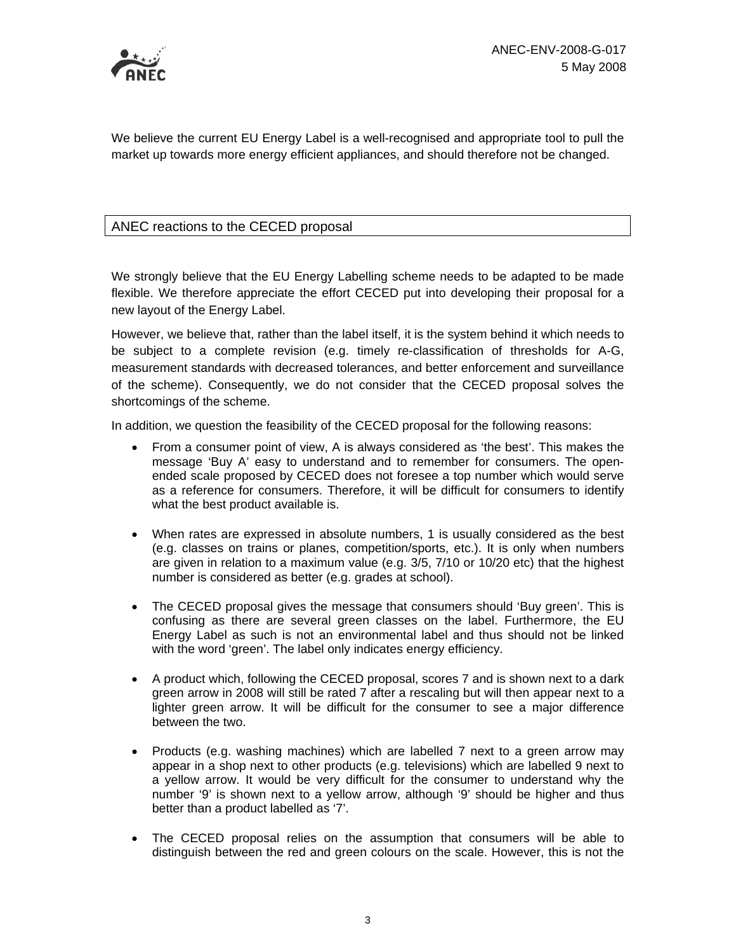

We believe the current EU Energy Label is a well-recognised and appropriate tool to pull the market up towards more energy efficient appliances, and should therefore not be changed.

### ANEC reactions to the CECED proposal

We strongly believe that the EU Energy Labelling scheme needs to be adapted to be made flexible. We therefore appreciate the effort CECED put into developing their proposal for a new layout of the Energy Label.

However, we believe that, rather than the label itself, it is the system behind it which needs to be subject to a complete revision (e.g. timely re-classification of thresholds for A-G, measurement standards with decreased tolerances, and better enforcement and surveillance of the scheme). Consequently, we do not consider that the CECED proposal solves the shortcomings of the scheme.

In addition, we question the feasibility of the CECED proposal for the following reasons:

- From a consumer point of view, A is always considered as 'the best'. This makes the message 'Buy A' easy to understand and to remember for consumers. The openended scale proposed by CECED does not foresee a top number which would serve as a reference for consumers. Therefore, it will be difficult for consumers to identify what the best product available is.
- When rates are expressed in absolute numbers, 1 is usually considered as the best (e.g. classes on trains or planes, competition/sports, etc.). It is only when numbers are given in relation to a maximum value (e.g. 3/5, 7/10 or 10/20 etc) that the highest number is considered as better (e.g. grades at school).
- The CECED proposal gives the message that consumers should 'Buy green'. This is confusing as there are several green classes on the label. Furthermore, the EU Energy Label as such is not an environmental label and thus should not be linked with the word 'green'. The label only indicates energy efficiency.
- A product which, following the CECED proposal, scores 7 and is shown next to a dark green arrow in 2008 will still be rated 7 after a rescaling but will then appear next to a lighter green arrow. It will be difficult for the consumer to see a major difference between the two.
- Products (e.g. washing machines) which are labelled 7 next to a green arrow may appear in a shop next to other products (e.g. televisions) which are labelled 9 next to a yellow arrow. It would be very difficult for the consumer to understand why the number '9' is shown next to a yellow arrow, although '9' should be higher and thus better than a product labelled as '7'.
- The CECED proposal relies on the assumption that consumers will be able to distinguish between the red and green colours on the scale. However, this is not the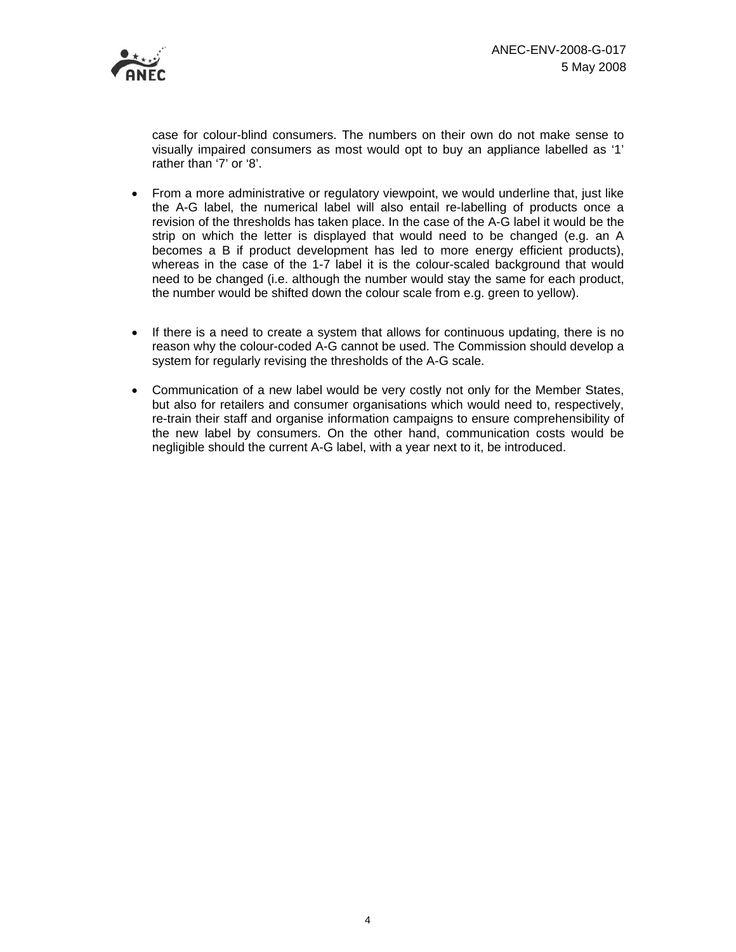

case for colour-blind consumers. The numbers on their own do not make sense to visually impaired consumers as most would opt to buy an appliance labelled as '1' rather than '7' or '8'.

- From a more administrative or regulatory viewpoint, we would underline that, just like the A-G label, the numerical label will also entail re-labelling of products once a revision of the thresholds has taken place. In the case of the A-G label it would be the strip on which the letter is displayed that would need to be changed (e.g. an A becomes a B if product development has led to more energy efficient products), whereas in the case of the 1-7 label it is the colour-scaled background that would need to be changed (i.e. although the number would stay the same for each product, the number would be shifted down the colour scale from e.g. green to yellow).
- If there is a need to create a system that allows for continuous updating, there is no reason why the colour-coded A-G cannot be used. The Commission should develop a system for regularly revising the thresholds of the A-G scale.
- Communication of a new label would be very costly not only for the Member States, but also for retailers and consumer organisations which would need to, respectively, re-train their staff and organise information campaigns to ensure comprehensibility of the new label by consumers. On the other hand, communication costs would be negligible should the current A-G label, with a year next to it, be introduced.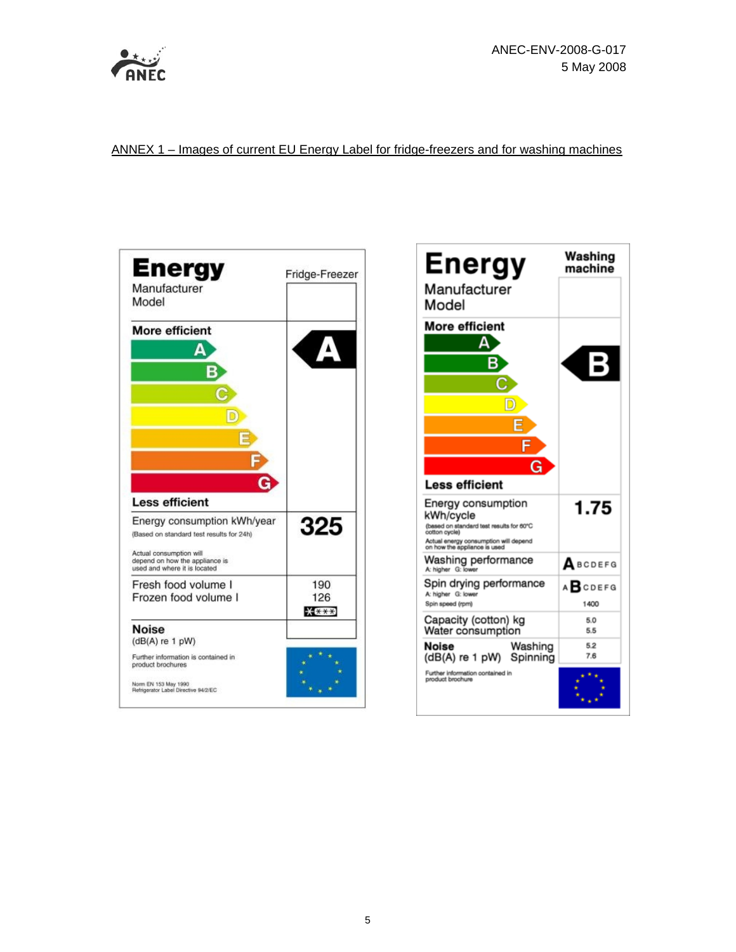

ANNEX 1 – Images of current EU Energy Label for fridge-freezers and for washing machines